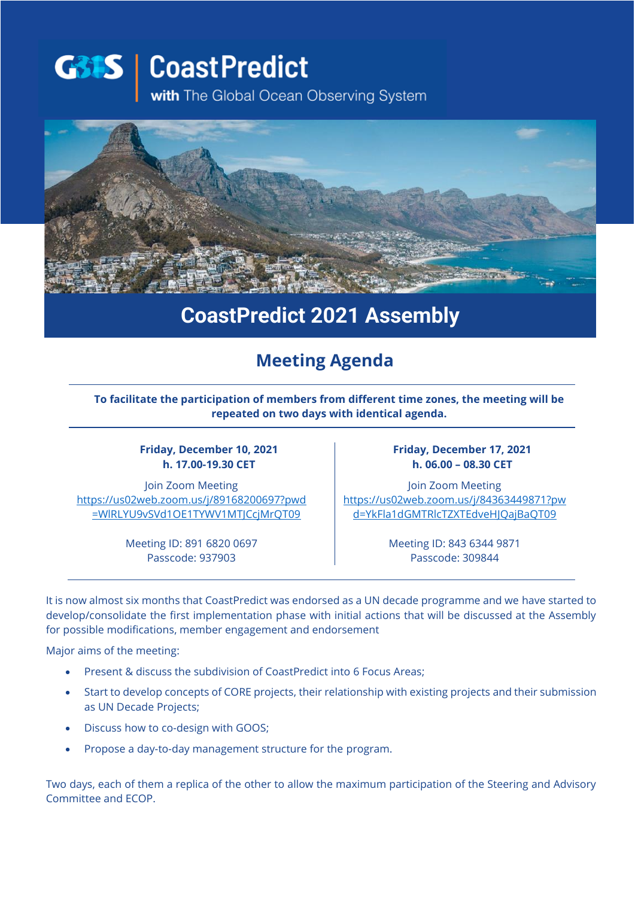**G31S** CoastPredict with The Global Ocean Observing System



## **CoastPredict 2021 Assembly**

## **Meeting Agenda**

**To facilitate the participation of members from different time zones, the meeting will be repeated on two days with identical agenda.**

**Friday, December 10, 2021 h. 17.00-19.30 CET**

Join Zoom Meeting [https://us02web.zoom.us/j/89168200697?pwd](https://us02web.zoom.us/j/89168200697?pwd=WlRLYU9vSVd1OE1TYWV1MTJCcjMrQT09) [=WlRLYU9vSVd1OE1TYWV1MTJCcjMrQT09](https://us02web.zoom.us/j/89168200697?pwd=WlRLYU9vSVd1OE1TYWV1MTJCcjMrQT09)

**Friday, December 17, 2021 h. 06.00 – 08.30 CET**

Join Zoom Meeting [https://us02web.zoom.us/j/84363449871?pw](https://us02web.zoom.us/j/84363449871?pwd=YkFla1dGMTRlcTZXTEdveHJQajBaQT09) [d=YkFla1dGMTRlcTZXTEdveHJQajBaQT09](https://us02web.zoom.us/j/84363449871?pwd=YkFla1dGMTRlcTZXTEdveHJQajBaQT09)

Meeting ID: 891 6820 0697 Passcode: 937903

Meeting ID: 843 6344 9871 Passcode: 309844

It is now almost six months that CoastPredict was endorsed as a UN decade programme and we have started to develop/consolidate the first implementation phase with initial actions that will be discussed at the Assembly for possible modifications, member engagement and endorsement

Major aims of the meeting:

- Present & discuss the subdivision of CoastPredict into 6 Focus Areas;
- Start to develop concepts of CORE projects, their relationship with existing projects and their submission as UN Decade Projects;
- Discuss how to co-design with GOOS;
- Propose a day-to-day management structure for the program.

Two days, each of them a replica of the other to allow the maximum participation of the Steering and Advisory Committee and ECOP.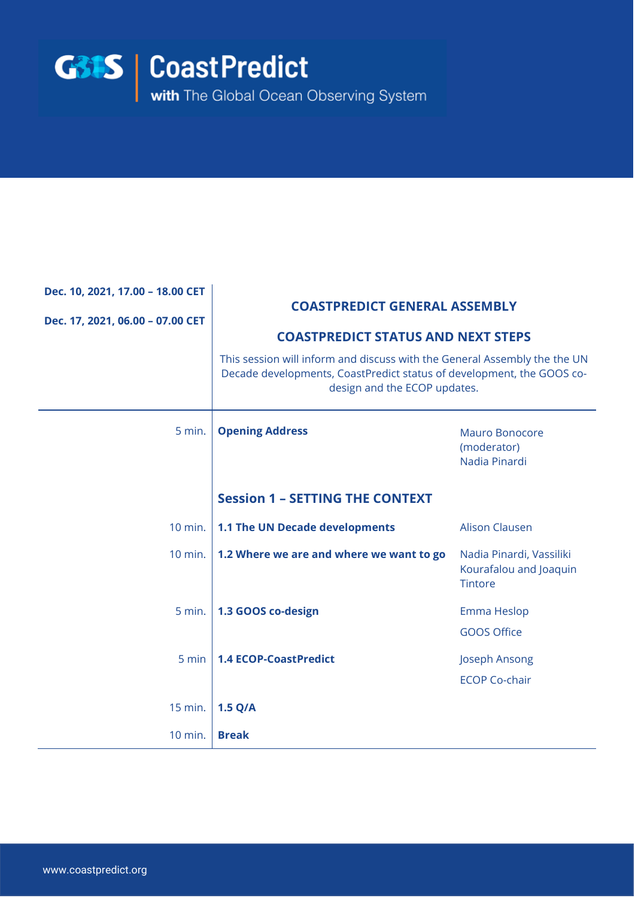

| Dec. 10, 2021, 17.00 - 18.00 CET<br>Dec. 17, 2021, 06.00 - 07.00 CET | <b>COASTPREDICT GENERAL ASSEMBLY</b><br><b>COASTPREDICT STATUS AND NEXT STEPS</b><br>This session will inform and discuss with the General Assembly the the UN<br>Decade developments, CoastPredict status of development, the GOOS co-<br>design and the ECOP updates. |                                                                      |  |
|----------------------------------------------------------------------|-------------------------------------------------------------------------------------------------------------------------------------------------------------------------------------------------------------------------------------------------------------------------|----------------------------------------------------------------------|--|
| 5 min.                                                               | <b>Opening Address</b>                                                                                                                                                                                                                                                  | <b>Mauro Bonocore</b><br>(moderator)<br>Nadia Pinardi                |  |
|                                                                      | <b>Session 1 - SETTING THE CONTEXT</b>                                                                                                                                                                                                                                  |                                                                      |  |
| 10 min.                                                              | 1.1 The UN Decade developments                                                                                                                                                                                                                                          | <b>Alison Clausen</b>                                                |  |
| 10 min.                                                              | 1.2 Where we are and where we want to go                                                                                                                                                                                                                                | Nadia Pinardi, Vassiliki<br>Kourafalou and Joaquin<br><b>Tintore</b> |  |
| 5 min.                                                               | 1.3 GOOS co-design                                                                                                                                                                                                                                                      | Emma Heslop                                                          |  |
|                                                                      |                                                                                                                                                                                                                                                                         | <b>GOOS Office</b>                                                   |  |
| 5 min                                                                | <b>1.4 ECOP-CoastPredict</b>                                                                                                                                                                                                                                            | Joseph Ansong                                                        |  |
|                                                                      |                                                                                                                                                                                                                                                                         | <b>ECOP Co-chair</b>                                                 |  |
| 15 min.                                                              | 1.5 Q/A                                                                                                                                                                                                                                                                 |                                                                      |  |
| 10 min.                                                              | <b>Break</b>                                                                                                                                                                                                                                                            |                                                                      |  |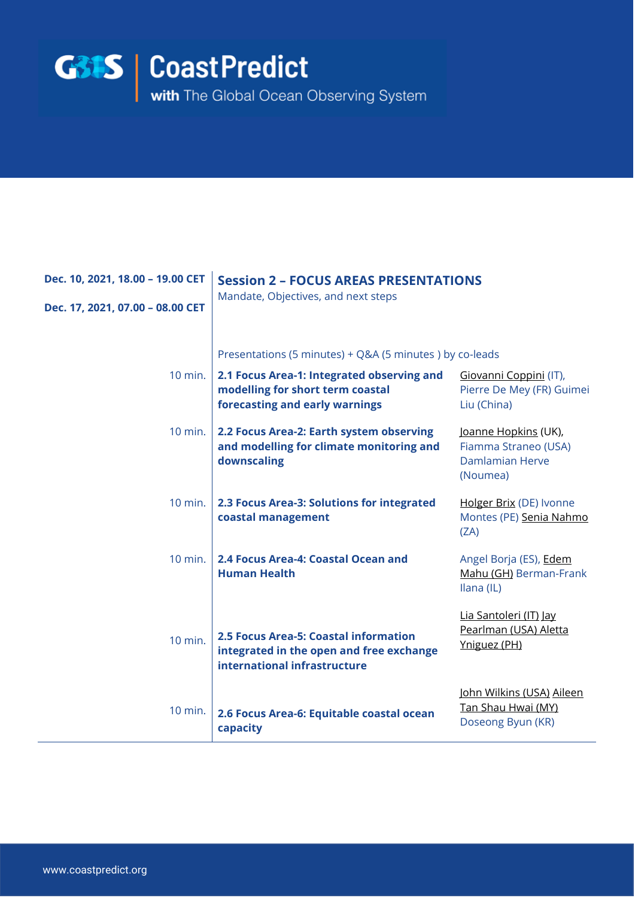

| Dec. 10, 2021, 18.00 - 19.00 CET<br>Dec. 17, 2021, 07.00 - 08.00 CET | <b>Session 2 - FOCUS AREAS PRESENTATIONS</b><br>Mandate, Objectives, and next steps                                                                                         |                                                                                    |
|----------------------------------------------------------------------|-----------------------------------------------------------------------------------------------------------------------------------------------------------------------------|------------------------------------------------------------------------------------|
| $10$ min.                                                            | Presentations (5 minutes) + Q&A (5 minutes) by co-leads<br>2.1 Focus Area-1: Integrated observing and<br>modelling for short term coastal<br>forecasting and early warnings | Giovanni Coppini (IT),<br>Pierre De Mey (FR) Guimei<br>Liu (China)                 |
| $10$ min.                                                            | 2.2 Focus Area-2: Earth system observing<br>and modelling for climate monitoring and<br>downscaling                                                                         | Joanne Hopkins (UK),<br>Fiamma Straneo (USA)<br><b>Damlamian Herve</b><br>(Noumea) |
| 10 min.                                                              | 2.3 Focus Area-3: Solutions for integrated<br>coastal management                                                                                                            | Holger Brix (DE) Ivonne<br>Montes (PE) Senia Nahmo<br>(ZA)                         |
| $10$ min.                                                            | 2.4 Focus Area-4: Coastal Ocean and<br><b>Human Health</b>                                                                                                                  | Angel Borja (ES), Edem<br>Mahu (GH) Berman-Frank<br>Ilana (IL)                     |
| 10 min.                                                              | 2.5 Focus Area-5: Coastal information<br>integrated in the open and free exchange<br>international infrastructure                                                           | Lia Santoleri (IT) Jay<br>Pearlman (USA) Aletta<br>Yniguez (PH)                    |
| 10 min.                                                              | 2.6 Focus Area-6: Equitable coastal ocean<br>capacity                                                                                                                       | John Wilkins (USA) Aileen<br>Tan Shau Hwai (MY)<br>Doseong Byun (KR)               |